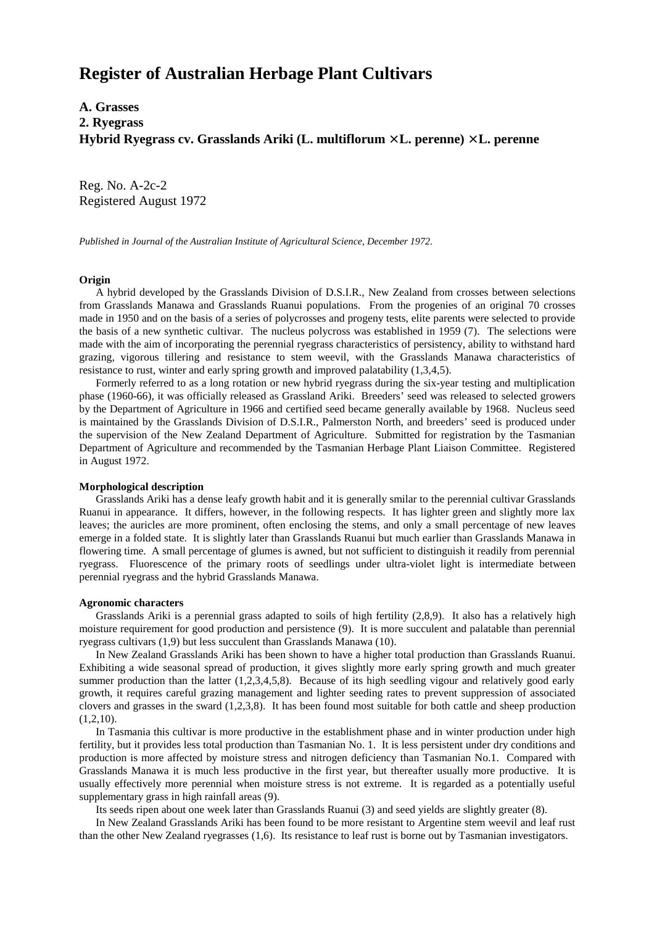# **Register of Australian Herbage Plant Cultivars**

**A. Grasses 2. Ryegrass Hybrid Ryegrass cv. Grasslands Ariki (L. multiflorum** × **L. perenne)** × **L. perenne**

Reg. No. A-2c-2 Registered August 1972

*Published in Journal of the Australian Institute of Agricultural Science, December 1972.*

### **Origin**

 A hybrid developed by the Grasslands Division of D.S.I.R., New Zealand from crosses between selections from Grasslands Manawa and Grasslands Ruanui populations. From the progenies of an original 70 crosses made in 1950 and on the basis of a series of polycrosses and progeny tests, elite parents were selected to provide the basis of a new synthetic cultivar. The nucleus polycross was established in 1959 (7). The selections were made with the aim of incorporating the perennial ryegrass characteristics of persistency, ability to withstand hard grazing, vigorous tillering and resistance to stem weevil, with the Grasslands Manawa characteristics of resistance to rust, winter and early spring growth and improved palatability (1,3,4,5).

 Formerly referred to as a long rotation or new hybrid ryegrass during the six-year testing and multiplication phase (1960-66), it was officially released as Grassland Ariki. Breeders' seed was released to selected growers by the Department of Agriculture in 1966 and certified seed became generally available by 1968. Nucleus seed is maintained by the Grasslands Division of D.S.I.R., Palmerston North, and breeders' seed is produced under the supervision of the New Zealand Department of Agriculture. Submitted for registration by the Tasmanian Department of Agriculture and recommended by the Tasmanian Herbage Plant Liaison Committee. Registered in August 1972.

## **Morphological description**

 Grasslands Ariki has a dense leafy growth habit and it is generally smilar to the perennial cultivar Grasslands Ruanui in appearance. It differs, however, in the following respects. It has lighter green and slightly more lax leaves; the auricles are more prominent, often enclosing the stems, and only a small percentage of new leaves emerge in a folded state. It is slightly later than Grasslands Ruanui but much earlier than Grasslands Manawa in flowering time. A small percentage of glumes is awned, but not sufficient to distinguish it readily from perennial ryegrass. Fluorescence of the primary roots of seedlings under ultra-violet light is intermediate between perennial ryegrass and the hybrid Grasslands Manawa.

### **Agronomic characters**

 Grasslands Ariki is a perennial grass adapted to soils of high fertility (2,8,9). It also has a relatively high moisture requirement for good production and persistence (9). It is more succulent and palatable than perennial ryegrass cultivars (1,9) but less succulent than Grasslands Manawa (10).

 In New Zealand Grasslands Ariki has been shown to have a higher total production than Grasslands Ruanui. Exhibiting a wide seasonal spread of production, it gives slightly more early spring growth and much greater summer production than the latter (1,2,3,4,5,8). Because of its high seedling vigour and relatively good early growth, it requires careful grazing management and lighter seeding rates to prevent suppression of associated clovers and grasses in the sward (1,2,3,8). It has been found most suitable for both cattle and sheep production  $(1,2,10)$ .

 In Tasmania this cultivar is more productive in the establishment phase and in winter production under high fertility, but it provides less total production than Tasmanian No. 1. It is less persistent under dry conditions and production is more affected by moisture stress and nitrogen deficiency than Tasmanian No.1. Compared with Grasslands Manawa it is much less productive in the first year, but thereafter usually more productive. It is usually effectively more perennial when moisture stress is not extreme. It is regarded as a potentially useful supplementary grass in high rainfall areas (9).

Its seeds ripen about one week later than Grasslands Ruanui (3) and seed yields are slightly greater (8).

 In New Zealand Grasslands Ariki has been found to be more resistant to Argentine stem weevil and leaf rust than the other New Zealand ryegrasses (1,6). Its resistance to leaf rust is borne out by Tasmanian investigators.